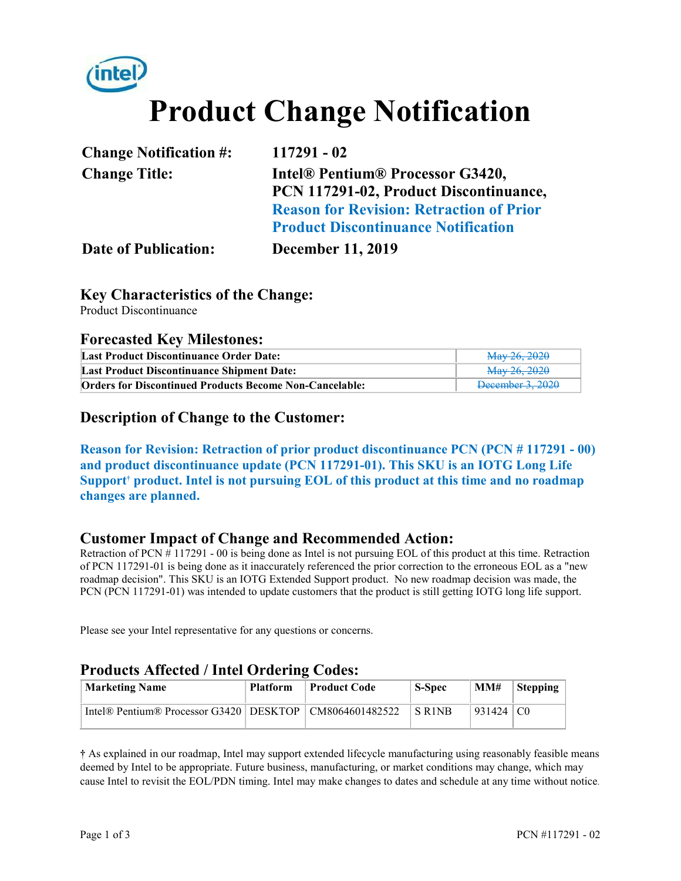# **Product Change Notification**

| <b>Change Notification #:</b> | 117291 - 02                                     |
|-------------------------------|-------------------------------------------------|
| <b>Change Title:</b>          | Intel® Pentium® Processor G3420,                |
|                               | PCN 117291-02, Product Discontinuance,          |
|                               | <b>Reason for Revision: Retraction of Prior</b> |
|                               | <b>Product Discontinuance Notification</b>      |
| <b>Date of Publication:</b>   | <b>December 11, 2019</b>                        |

#### **Key Characteristics of the Change:**

Product Discontinuance

#### **Forecasted Key Milestones:**

| Last Product Discontinuance Order Date:                        | May 26, 2020     |
|----------------------------------------------------------------|------------------|
| <b>Last Product Discontinuance Shipment Date:</b>              | May 26, 2020     |
| <b>Orders for Discontinued Products Become Non-Cancelable:</b> | December 3, 2020 |

#### **Description of Change to the Customer:**

**Reason for Revision: Retraction of prior product discontinuance PCN (PCN # 117291 - 00) and product discontinuance update (PCN 117291-01). This SKU is an IOTG Long Life**  Support<sup>†</sup> product. Intel is not pursuing EOL of this product at this time and no roadmap **changes are planned.** 

#### **Customer Impact of Change and Recommended Action:**

Retraction of PCN # 117291 - 00 is being done as Intel is not pursuing EOL of this product at this time. Retraction of PCN 117291-01 is being done as it inaccurately referenced the prior correction to the erroneous EOL as a "new roadmap decision". This SKU is an IOTG Extended Support product. No new roadmap decision was made, the PCN (PCN 117291-01) was intended to update customers that the product is still getting IOTG long life support.

Please see your Intel representative for any questions or concerns.

#### **Products Affected / Intel Ordering Codes:**

| <b>Marketing Name</b>                                       | <b>Platform</b> | Product Code | <b>S-Spec</b>                   | MM#         | Stepping |
|-------------------------------------------------------------|-----------------|--------------|---------------------------------|-------------|----------|
| Intel® Pentium® Processor G3420   DESKTOP   CM8064601482522 |                 |              | S R <sub>1</sub> N <sub>B</sub> | $931424$ CO |          |

**†** As explained in our roadmap, Intel may support extended lifecycle manufacturing using reasonably feasible means deemed by Intel to be appropriate. Future business, manufacturing, or market conditions may change, which may cause Intel to revisit the EOL/PDN timing. Intel may make changes to dates and schedule at any time without notice.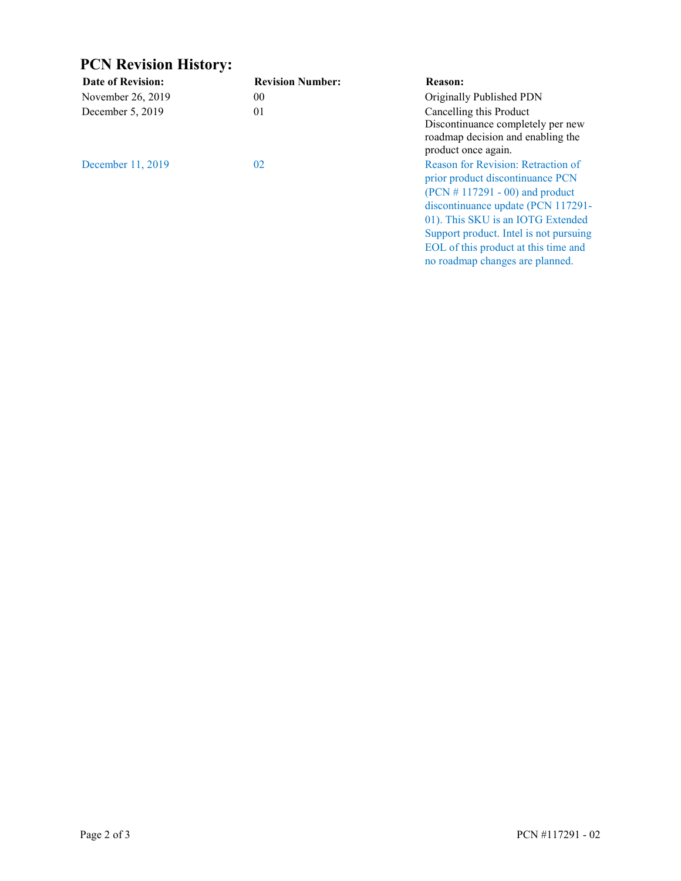### **PCN Revision History:**

| <b>Date of Revision:</b> | <b>Revision Number:</b> | <b>Reason:</b>                                                                                                                                                                                                                                                                                              |
|--------------------------|-------------------------|-------------------------------------------------------------------------------------------------------------------------------------------------------------------------------------------------------------------------------------------------------------------------------------------------------------|
| November 26, 2019        | 00 <sup>°</sup>         | Originally Published PDN                                                                                                                                                                                                                                                                                    |
| December 5, 2019         | 01                      | Cancelling this Product<br>Discontinuance completely per new<br>roadmap decision and enabling the<br>product once again.                                                                                                                                                                                    |
| December 11, 2019        | 02                      | Reason for Revision: Retraction of<br>prior product discontinuance PCN<br>$(PCN # 117291 - 00)$ and product<br>discontinuance update (PCN 117291-<br>01). This SKU is an IOTG Extended<br>Support product. Intel is not pursuing<br>EOL of this product at this time and<br>no roadmap changes are planned. |